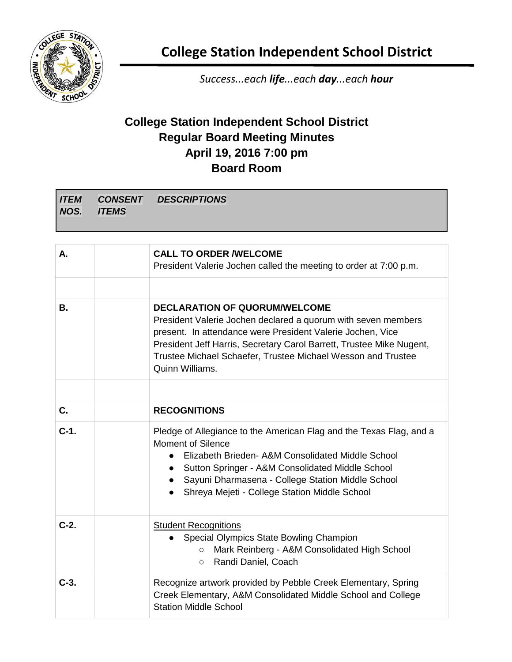

**College Station Independent School District**

*Success...each life...each day...each hour*

## **College Station Independent School District Regular Board Meeting Minutes April 19, 2016 7:00 pm Board Room**

|             |              | <b>ITEM CONSENT DESCRIPTIONS</b> |
|-------------|--------------|----------------------------------|
| <b>NOS.</b> | <b>ITEMS</b> |                                  |
|             |              |                                  |

| А.      | <b>CALL TO ORDER /WELCOME</b><br>President Valerie Jochen called the meeting to order at 7:00 p.m.                                                                                                                                                                                                                                       |
|---------|------------------------------------------------------------------------------------------------------------------------------------------------------------------------------------------------------------------------------------------------------------------------------------------------------------------------------------------|
|         |                                                                                                                                                                                                                                                                                                                                          |
| В.      | <b>DECLARATION OF QUORUM/WELCOME</b><br>President Valerie Jochen declared a quorum with seven members<br>present. In attendance were President Valerie Jochen, Vice<br>President Jeff Harris, Secretary Carol Barrett, Trustee Mike Nugent,<br>Trustee Michael Schaefer, Trustee Michael Wesson and Trustee<br>Quinn Williams.           |
|         |                                                                                                                                                                                                                                                                                                                                          |
| C.      | <b>RECOGNITIONS</b>                                                                                                                                                                                                                                                                                                                      |
| $C-1$ . | Pledge of Allegiance to the American Flag and the Texas Flag, and a<br><b>Moment of Silence</b><br>Elizabeth Brieden- A&M Consolidated Middle School<br>$\bullet$<br>Sutton Springer - A&M Consolidated Middle School<br>$\bullet$<br>Sayuni Dharmasena - College Station Middle School<br>Shreya Mejeti - College Station Middle School |
| $C-2.$  | <b>Student Recognitions</b><br>Special Olympics State Bowling Champion<br>Mark Reinberg - A&M Consolidated High School<br>$\circ$<br>Randi Daniel, Coach<br>$\circ$                                                                                                                                                                      |
| $C-3.$  | Recognize artwork provided by Pebble Creek Elementary, Spring<br>Creek Elementary, A&M Consolidated Middle School and College<br><b>Station Middle School</b>                                                                                                                                                                            |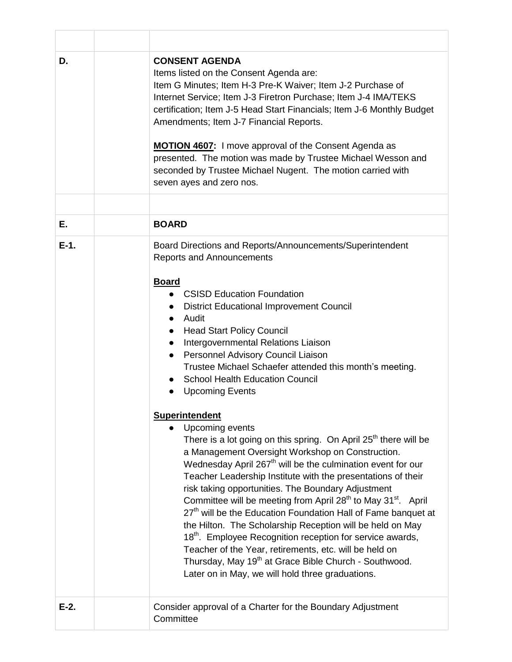| D.      | <b>CONSENT AGENDA</b><br>Items listed on the Consent Agenda are:<br>Item G Minutes; Item H-3 Pre-K Waiver; Item J-2 Purchase of<br>Internet Service; Item J-3 Firetron Purchase; Item J-4 IMA/TEKS<br>certification; Item J-5 Head Start Financials; Item J-6 Monthly Budget<br>Amendments; Item J-7 Financial Reports.<br><b>MOTION 4607:</b> I move approval of the Consent Agenda as<br>presented. The motion was made by Trustee Michael Wesson and<br>seconded by Trustee Michael Nugent. The motion carried with<br>seven ayes and zero nos.                                                                                                                                                                                                                                                            |
|---------|---------------------------------------------------------------------------------------------------------------------------------------------------------------------------------------------------------------------------------------------------------------------------------------------------------------------------------------------------------------------------------------------------------------------------------------------------------------------------------------------------------------------------------------------------------------------------------------------------------------------------------------------------------------------------------------------------------------------------------------------------------------------------------------------------------------|
|         |                                                                                                                                                                                                                                                                                                                                                                                                                                                                                                                                                                                                                                                                                                                                                                                                               |
| Е.      | <b>BOARD</b>                                                                                                                                                                                                                                                                                                                                                                                                                                                                                                                                                                                                                                                                                                                                                                                                  |
| $E-1$ . | Board Directions and Reports/Announcements/Superintendent<br><b>Reports and Announcements</b><br><b>Board</b><br>• CSISD Education Foundation<br><b>District Educational Improvement Council</b><br>Audit<br>$\bullet$<br><b>Head Start Policy Council</b><br>Intergovernmental Relations Liaison<br><b>Personnel Advisory Council Liaison</b><br>Trustee Michael Schaefer attended this month's meeting.<br><b>School Health Education Council</b><br><b>Upcoming Events</b><br>$\bullet$<br><b>Superintendent</b><br>• Upcoming events<br>There is a lot going on this spring. On April $25th$ there will be<br>a Management Oversight Workshop on Construction.<br>Wednesday April 267 <sup>th</sup> will be the culmination event for our<br>Teacher Leadership Institute with the presentations of their |
| $E-2$ . | risk taking opportunities. The Boundary Adjustment<br>Committee will be meeting from April 28 <sup>th</sup> to May 31 <sup>st</sup> . April<br>27 <sup>th</sup> will be the Education Foundation Hall of Fame banquet at<br>the Hilton. The Scholarship Reception will be held on May<br>18 <sup>th</sup> . Employee Recognition reception for service awards,<br>Teacher of the Year, retirements, etc. will be held on<br>Thursday, May 19 <sup>th</sup> at Grace Bible Church - Southwood.<br>Later on in May, we will hold three graduations.<br>Consider approval of a Charter for the Boundary Adjustment                                                                                                                                                                                               |
|         | Committee                                                                                                                                                                                                                                                                                                                                                                                                                                                                                                                                                                                                                                                                                                                                                                                                     |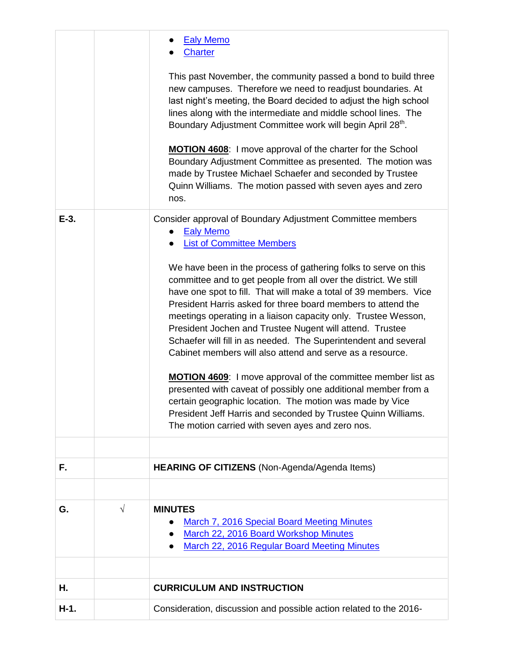|         |            | <b>Ealy Memo</b><br><b>Charter</b>                                                                                                                                                                                                                                                                                                                                                                                                                                                                                                     |
|---------|------------|----------------------------------------------------------------------------------------------------------------------------------------------------------------------------------------------------------------------------------------------------------------------------------------------------------------------------------------------------------------------------------------------------------------------------------------------------------------------------------------------------------------------------------------|
|         |            | This past November, the community passed a bond to build three<br>new campuses. Therefore we need to readjust boundaries. At<br>last night's meeting, the Board decided to adjust the high school<br>lines along with the intermediate and middle school lines. The<br>Boundary Adjustment Committee work will begin April 28th.                                                                                                                                                                                                       |
|         |            | MOTION 4608: I move approval of the charter for the School<br>Boundary Adjustment Committee as presented. The motion was<br>made by Trustee Michael Schaefer and seconded by Trustee<br>Quinn Williams. The motion passed with seven ayes and zero<br>nos.                                                                                                                                                                                                                                                                             |
| $E-3$ . |            | Consider approval of Boundary Adjustment Committee members<br><b>Ealy Memo</b><br><b>List of Committee Members</b>                                                                                                                                                                                                                                                                                                                                                                                                                     |
|         |            | We have been in the process of gathering folks to serve on this<br>committee and to get people from all over the district. We still<br>have one spot to fill. That will make a total of 39 members. Vice<br>President Harris asked for three board members to attend the<br>meetings operating in a liaison capacity only. Trustee Wesson,<br>President Jochen and Trustee Nugent will attend. Trustee<br>Schaefer will fill in as needed. The Superintendent and several<br>Cabinet members will also attend and serve as a resource. |
|         |            | <b>MOTION 4609:</b> I move approval of the committee member list as<br>presented with caveat of possibly one additional member from a<br>certain geographic location. The motion was made by Vice<br>President Jeff Harris and seconded by Trustee Quinn Williams.<br>The motion carried with seven ayes and zero nos.                                                                                                                                                                                                                 |
| F.      |            |                                                                                                                                                                                                                                                                                                                                                                                                                                                                                                                                        |
|         |            | <b>HEARING OF CITIZENS</b> (Non-Agenda/Agenda Items)                                                                                                                                                                                                                                                                                                                                                                                                                                                                                   |
| G.      | $\sqrt{ }$ | <b>MINUTES</b><br>March 7, 2016 Special Board Meeting Minutes<br>March 22, 2016 Board Workshop Minutes<br>March 22, 2016 Regular Board Meeting Minutes                                                                                                                                                                                                                                                                                                                                                                                 |
| Η.      |            | <b>CURRICULUM AND INSTRUCTION</b>                                                                                                                                                                                                                                                                                                                                                                                                                                                                                                      |
| $H-1.$  |            | Consideration, discussion and possible action related to the 2016-                                                                                                                                                                                                                                                                                                                                                                                                                                                                     |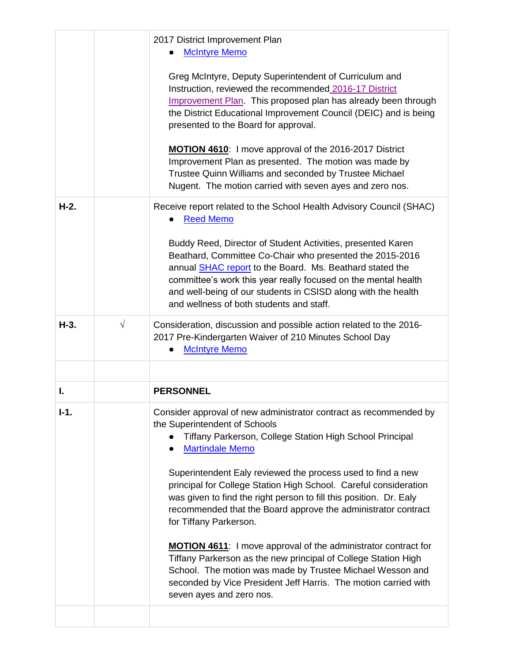|        |            | 2017 District Improvement Plan<br><b>McIntyre Memo</b>                                                                                                                                                                                                                                                                                                                                                                                                                                                                                                                                                                                                                                                                                                                                              |
|--------|------------|-----------------------------------------------------------------------------------------------------------------------------------------------------------------------------------------------------------------------------------------------------------------------------------------------------------------------------------------------------------------------------------------------------------------------------------------------------------------------------------------------------------------------------------------------------------------------------------------------------------------------------------------------------------------------------------------------------------------------------------------------------------------------------------------------------|
|        |            | Greg McIntyre, Deputy Superintendent of Curriculum and<br>Instruction, reviewed the recommended 2016-17 District<br>Improvement Plan. This proposed plan has already been through<br>the District Educational Improvement Council (DEIC) and is being<br>presented to the Board for approval.                                                                                                                                                                                                                                                                                                                                                                                                                                                                                                       |
|        |            | <b>MOTION 4610:</b> I move approval of the 2016-2017 District<br>Improvement Plan as presented. The motion was made by<br>Trustee Quinn Williams and seconded by Trustee Michael<br>Nugent. The motion carried with seven ayes and zero nos.                                                                                                                                                                                                                                                                                                                                                                                                                                                                                                                                                        |
| $H-2.$ |            | Receive report related to the School Health Advisory Council (SHAC)<br><b>Reed Memo</b>                                                                                                                                                                                                                                                                                                                                                                                                                                                                                                                                                                                                                                                                                                             |
|        |            | Buddy Reed, Director of Student Activities, presented Karen<br>Beathard, Committee Co-Chair who presented the 2015-2016<br>annual SHAC report to the Board. Ms. Beathard stated the<br>committee's work this year really focused on the mental health<br>and well-being of our students in CSISD along with the health<br>and wellness of both students and staff.                                                                                                                                                                                                                                                                                                                                                                                                                                  |
| $H-3.$ | $\sqrt{ }$ | Consideration, discussion and possible action related to the 2016-<br>2017 Pre-Kindergarten Waiver of 210 Minutes School Day<br><b>McIntyre Memo</b>                                                                                                                                                                                                                                                                                                                                                                                                                                                                                                                                                                                                                                                |
|        |            |                                                                                                                                                                                                                                                                                                                                                                                                                                                                                                                                                                                                                                                                                                                                                                                                     |
| I.     |            | <b>PERSONNEL</b>                                                                                                                                                                                                                                                                                                                                                                                                                                                                                                                                                                                                                                                                                                                                                                                    |
| $I-1.$ |            | Consider approval of new administrator contract as recommended by<br>the Superintendent of Schools<br>Tiffany Parkerson, College Station High School Principal<br><b>Martindale Memo</b><br>Superintendent Ealy reviewed the process used to find a new<br>principal for College Station High School. Careful consideration<br>was given to find the right person to fill this position. Dr. Ealy<br>recommended that the Board approve the administrator contract<br>for Tiffany Parkerson.<br><b>MOTION 4611:</b> I move approval of the administrator contract for<br>Tiffany Parkerson as the new principal of College Station High<br>School. The motion was made by Trustee Michael Wesson and<br>seconded by Vice President Jeff Harris. The motion carried with<br>seven ayes and zero nos. |
|        |            |                                                                                                                                                                                                                                                                                                                                                                                                                                                                                                                                                                                                                                                                                                                                                                                                     |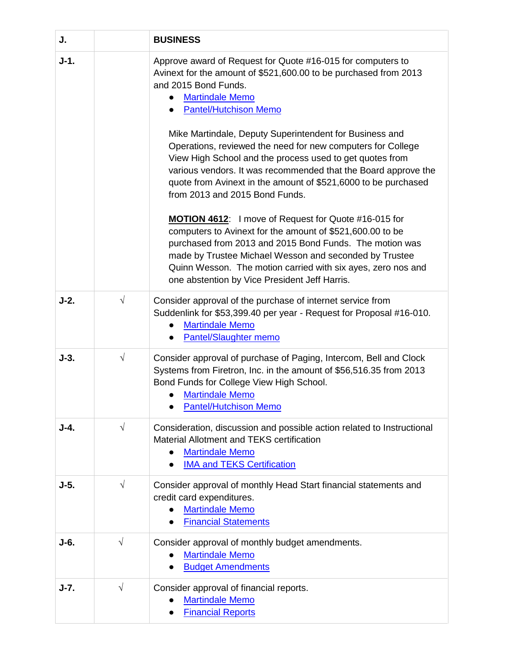| J.     |            | <b>BUSINESS</b>                                                                                                                                                                                                                                                                                                                                                                                                                                                                                                                                                                                                                                                                                                                                                                                                                                                                                                                                 |
|--------|------------|-------------------------------------------------------------------------------------------------------------------------------------------------------------------------------------------------------------------------------------------------------------------------------------------------------------------------------------------------------------------------------------------------------------------------------------------------------------------------------------------------------------------------------------------------------------------------------------------------------------------------------------------------------------------------------------------------------------------------------------------------------------------------------------------------------------------------------------------------------------------------------------------------------------------------------------------------|
| $J-1.$ |            | Approve award of Request for Quote #16-015 for computers to<br>Avinext for the amount of \$521,600.00 to be purchased from 2013<br>and 2015 Bond Funds.<br><b>Martindale Memo</b><br><b>Pantel/Hutchison Memo</b><br>Mike Martindale, Deputy Superintendent for Business and<br>Operations, reviewed the need for new computers for College<br>View High School and the process used to get quotes from<br>various vendors. It was recommended that the Board approve the<br>quote from Avinext in the amount of \$521,6000 to be purchased<br>from 2013 and 2015 Bond Funds.<br><b>MOTION 4612:</b> I move of Request for Quote #16-015 for<br>computers to Avinext for the amount of \$521,600.00 to be<br>purchased from 2013 and 2015 Bond Funds. The motion was<br>made by Trustee Michael Wesson and seconded by Trustee<br>Quinn Wesson. The motion carried with six ayes, zero nos and<br>one abstention by Vice President Jeff Harris. |
| $J-2.$ | $\sqrt{}$  | Consider approval of the purchase of internet service from<br>Suddenlink for \$53,399.40 per year - Request for Proposal #16-010.<br><b>Martindale Memo</b><br><b>Pantel/Slaughter memo</b>                                                                                                                                                                                                                                                                                                                                                                                                                                                                                                                                                                                                                                                                                                                                                     |
| $J-3.$ | $\sqrt{ }$ | Consider approval of purchase of Paging, Intercom, Bell and Clock<br>Systems from Firetron, Inc. in the amount of \$56,516.35 from 2013<br>Bond Funds for College View High School.<br><b>Martindale Memo</b><br><b>Pantel/Hutchison Memo</b>                                                                                                                                                                                                                                                                                                                                                                                                                                                                                                                                                                                                                                                                                                   |
| $J-4.$ | $\sqrt{}$  | Consideration, discussion and possible action related to Instructional<br>Material Allotment and TEKS certification<br><b>Martindale Memo</b><br><b>IMA and TEKS Certification</b>                                                                                                                                                                                                                                                                                                                                                                                                                                                                                                                                                                                                                                                                                                                                                              |
| $J-5.$ | $\sqrt{}$  | Consider approval of monthly Head Start financial statements and<br>credit card expenditures.<br><b>Martindale Memo</b><br><b>Financial Statements</b>                                                                                                                                                                                                                                                                                                                                                                                                                                                                                                                                                                                                                                                                                                                                                                                          |
| $J-6.$ | $\sqrt{}$  | Consider approval of monthly budget amendments.<br><b>Martindale Memo</b><br><b>Budget Amendments</b>                                                                                                                                                                                                                                                                                                                                                                                                                                                                                                                                                                                                                                                                                                                                                                                                                                           |
| $J-7.$ | $\sqrt{}$  | Consider approval of financial reports.<br><b>Martindale Memo</b><br><b>Financial Reports</b>                                                                                                                                                                                                                                                                                                                                                                                                                                                                                                                                                                                                                                                                                                                                                                                                                                                   |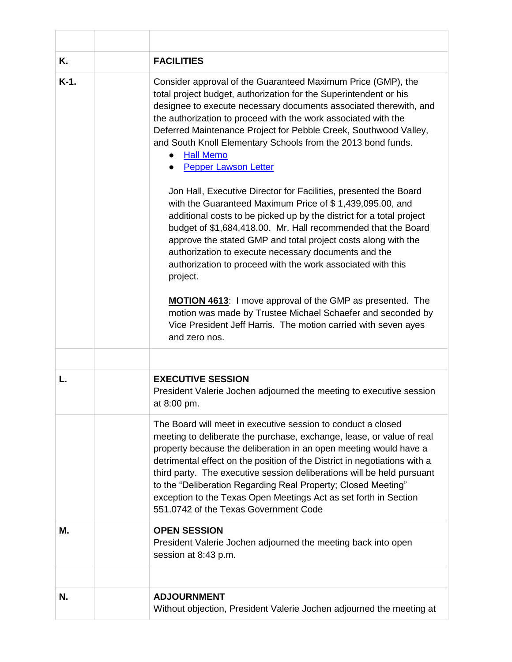| Κ.      | <b>FACILITIES</b>                                                                                                                                                                                                                                                                                                                                                                                                                                                                                                                                                                                                                                                                                                                                                                                                                                                                                                                                                                                                                                                                                                                                                  |
|---------|--------------------------------------------------------------------------------------------------------------------------------------------------------------------------------------------------------------------------------------------------------------------------------------------------------------------------------------------------------------------------------------------------------------------------------------------------------------------------------------------------------------------------------------------------------------------------------------------------------------------------------------------------------------------------------------------------------------------------------------------------------------------------------------------------------------------------------------------------------------------------------------------------------------------------------------------------------------------------------------------------------------------------------------------------------------------------------------------------------------------------------------------------------------------|
| $K-1$ . | Consider approval of the Guaranteed Maximum Price (GMP), the<br>total project budget, authorization for the Superintendent or his<br>designee to execute necessary documents associated therewith, and<br>the authorization to proceed with the work associated with the<br>Deferred Maintenance Project for Pebble Creek, Southwood Valley,<br>and South Knoll Elementary Schools from the 2013 bond funds.<br><b>Hall Memo</b><br><b>Pepper Lawson Letter</b><br>Jon Hall, Executive Director for Facilities, presented the Board<br>with the Guaranteed Maximum Price of \$1,439,095.00, and<br>additional costs to be picked up by the district for a total project<br>budget of \$1,684,418.00. Mr. Hall recommended that the Board<br>approve the stated GMP and total project costs along with the<br>authorization to execute necessary documents and the<br>authorization to proceed with the work associated with this<br>project.<br><b>MOTION 4613:</b> I move approval of the GMP as presented. The<br>motion was made by Trustee Michael Schaefer and seconded by<br>Vice President Jeff Harris. The motion carried with seven ayes<br>and zero nos. |
|         |                                                                                                                                                                                                                                                                                                                                                                                                                                                                                                                                                                                                                                                                                                                                                                                                                                                                                                                                                                                                                                                                                                                                                                    |
| L.      | <b>EXECUTIVE SESSION</b>                                                                                                                                                                                                                                                                                                                                                                                                                                                                                                                                                                                                                                                                                                                                                                                                                                                                                                                                                                                                                                                                                                                                           |
|         | President Valerie Jochen adjourned the meeting to executive session<br>at 8:00 pm.                                                                                                                                                                                                                                                                                                                                                                                                                                                                                                                                                                                                                                                                                                                                                                                                                                                                                                                                                                                                                                                                                 |
|         | The Board will meet in executive session to conduct a closed<br>meeting to deliberate the purchase, exchange, lease, or value of real<br>property because the deliberation in an open meeting would have a<br>detrimental effect on the position of the District in negotiations with a<br>third party. The executive session deliberations will be held pursuant<br>to the "Deliberation Regarding Real Property; Closed Meeting"<br>exception to the Texas Open Meetings Act as set forth in Section<br>551.0742 of the Texas Government Code                                                                                                                                                                                                                                                                                                                                                                                                                                                                                                                                                                                                                    |
| М.      | <b>OPEN SESSION</b><br>President Valerie Jochen adjourned the meeting back into open<br>session at 8:43 p.m.                                                                                                                                                                                                                                                                                                                                                                                                                                                                                                                                                                                                                                                                                                                                                                                                                                                                                                                                                                                                                                                       |
|         |                                                                                                                                                                                                                                                                                                                                                                                                                                                                                                                                                                                                                                                                                                                                                                                                                                                                                                                                                                                                                                                                                                                                                                    |
| N.      | <b>ADJOURNMENT</b><br>Without objection, President Valerie Jochen adjourned the meeting at                                                                                                                                                                                                                                                                                                                                                                                                                                                                                                                                                                                                                                                                                                                                                                                                                                                                                                                                                                                                                                                                         |